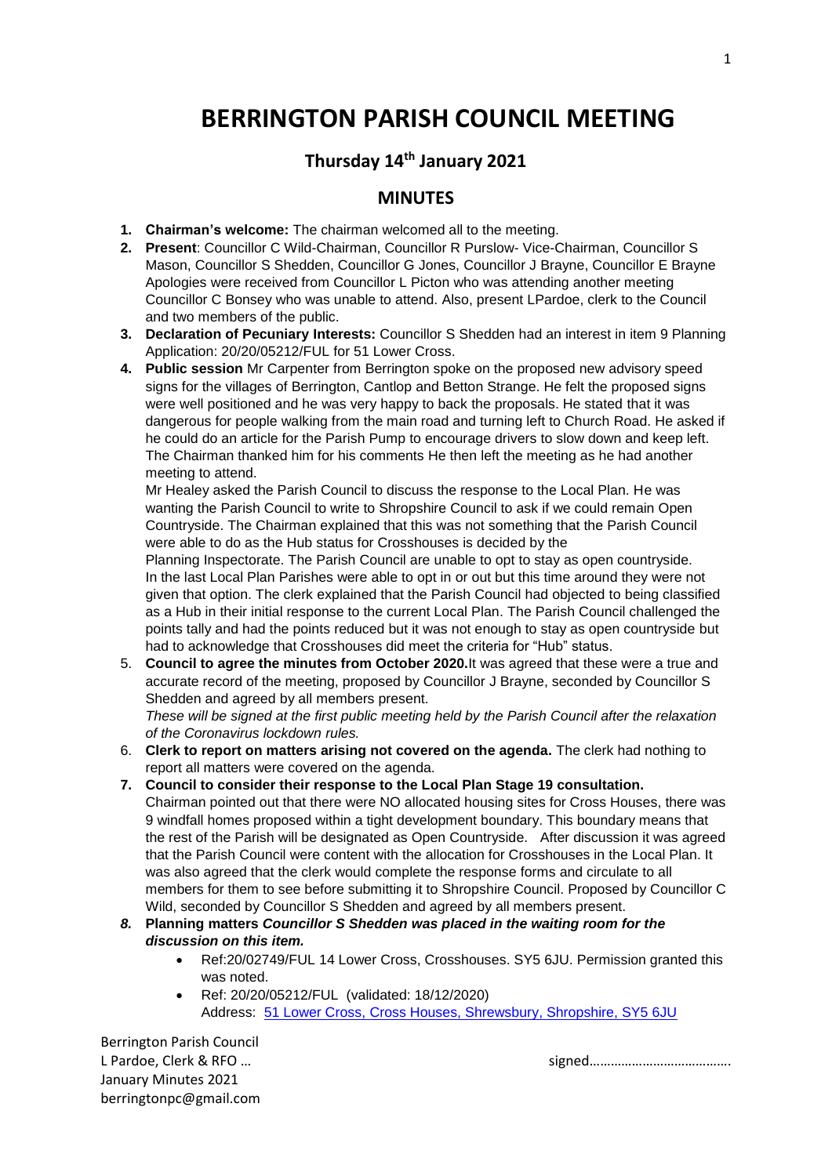# **BERRINGTON PARISH COUNCIL MEETING**

## **Thursday 14th January 2021**

## **MINUTES**

- **1. Chairman's welcome:** The chairman welcomed all to the meeting.
- **2. Present**: Councillor C Wild-Chairman, Councillor R Purslow- Vice-Chairman, Councillor S Mason, Councillor S Shedden, Councillor G Jones, Councillor J Brayne, Councillor E Brayne Apologies were received from Councillor L Picton who was attending another meeting Councillor C Bonsey who was unable to attend. Also, present LPardoe, clerk to the Council and two members of the public.
- **3. Declaration of Pecuniary Interests:** Councillor S Shedden had an interest in item 9 Planning Application: 20/20/05212/FUL for 51 Lower Cross.
- **4. Public session** Mr Carpenter from Berrington spoke on the proposed new advisory speed signs for the villages of Berrington, Cantlop and Betton Strange. He felt the proposed signs were well positioned and he was very happy to back the proposals. He stated that it was dangerous for people walking from the main road and turning left to Church Road. He asked if he could do an article for the Parish Pump to encourage drivers to slow down and keep left. The Chairman thanked him for his comments He then left the meeting as he had another meeting to attend.

Mr Healey asked the Parish Council to discuss the response to the Local Plan. He was wanting the Parish Council to write to Shropshire Council to ask if we could remain Open Countryside. The Chairman explained that this was not something that the Parish Council were able to do as the Hub status for Crosshouses is decided by the

Planning Inspectorate. The Parish Council are unable to opt to stay as open countryside. In the last Local Plan Parishes were able to opt in or out but this time around they were not given that option. The clerk explained that the Parish Council had objected to being classified as a Hub in their initial response to the current Local Plan. The Parish Council challenged the points tally and had the points reduced but it was not enough to stay as open countryside but had to acknowledge that Crosshouses did meet the criteria for "Hub" status.

5. **Council to agree the minutes from October 2020.**It was agreed that these were a true and accurate record of the meeting, proposed by Councillor J Brayne, seconded by Councillor S Shedden and agreed by all members present.

*These will be signed at the first public meeting held by the Parish Council after the relaxation of the Coronavirus lockdown rules.*

- 6. **Clerk to report on matters arising not covered on the agenda.** The clerk had nothing to report all matters were covered on the agenda.
- **7. Council to consider their response to the Local Plan Stage 19 consultation.** Chairman pointed out that there were NO allocated housing sites for Cross Houses, there was 9 windfall homes proposed within a tight development boundary. This boundary means that the rest of the Parish will be designated as Open Countryside. After discussion it was agreed that the Parish Council were content with the allocation for Crosshouses in the Local Plan. It was also agreed that the clerk would complete the response forms and circulate to all members for them to see before submitting it to Shropshire Council. Proposed by Councillor C Wild, seconded by Councillor S Shedden and agreed by all members present.
- *8.* **Planning matters** *Councillor S Shedden was placed in the waiting room for the discussion on this item.*
	- Ref:20/02749/FUL 14 Lower Cross, Crosshouses. SY5 6JU. Permission granted this was noted.
	- Ref: 20/20/05212/FUL (validated: 18/12/2020) Address: [51 Lower Cross, Cross Houses, Shrewsbury, Shropshire, SY5 6JU](https://www.google.com/maps/search/51+Lower+Cross,+Cross+Houses,+Shrewsbury,+Shropshire,+SY5+6JU?entry=gmail&source=g)

Berrington Parish Council January Minutes 2021 berringtonpc@gmail.com

L Pardoe, Clerk & RFO ...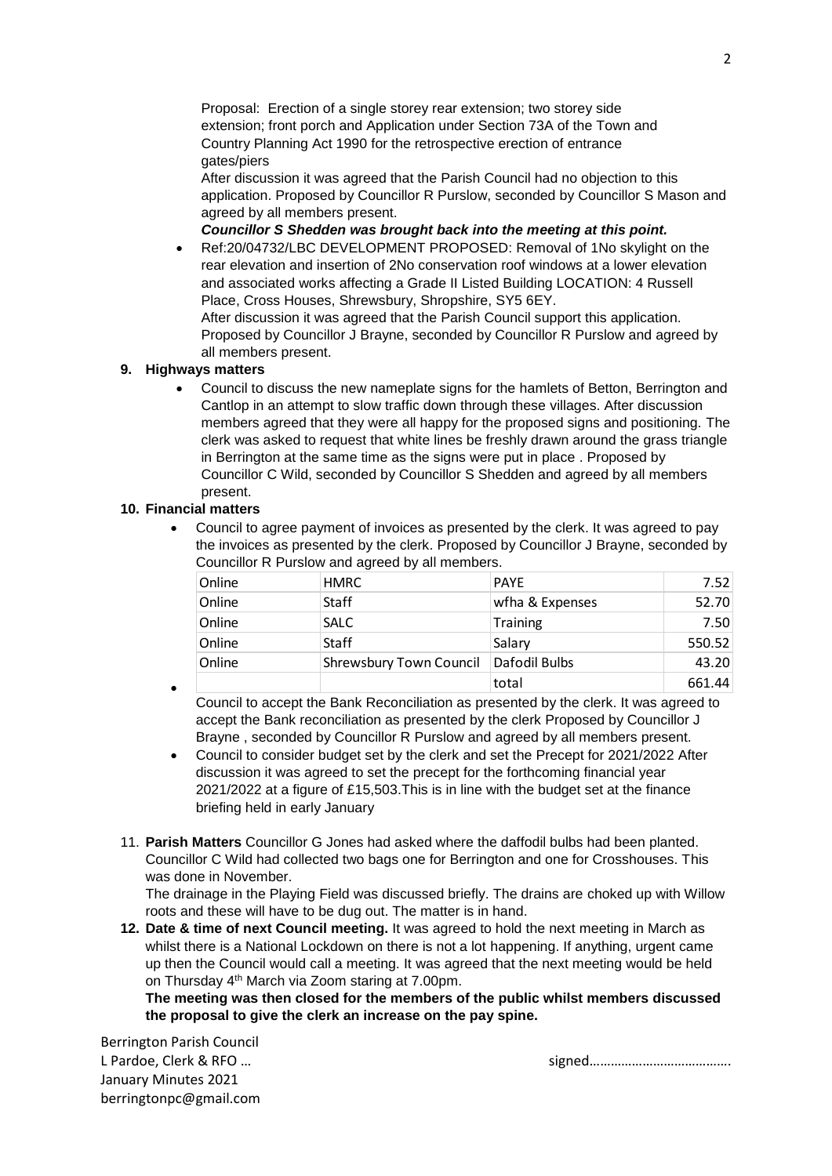Proposal: Erection of a single storey rear extension; two storey side extension; front porch and Application under Section 73A of the Town and Country Planning Act 1990 for the retrospective erection of entrance gates/piers

After discussion it was agreed that the Parish Council had no objection to this application. Proposed by Councillor R Purslow, seconded by Councillor S Mason and agreed by all members present.

*Councillor S Shedden was brought back into the meeting at this point.*

 Ref:20/04732/LBC DEVELOPMENT PROPOSED: Removal of 1No skylight on the rear elevation and insertion of 2No conservation roof windows at a lower elevation and associated works affecting a Grade II Listed Building LOCATION: 4 Russell Place, Cross Houses, Shrewsbury, Shropshire, SY5 6EY.

After discussion it was agreed that the Parish Council support this application. Proposed by Councillor J Brayne, seconded by Councillor R Purslow and agreed by all members present.

### **9. Highways matters**

 Council to discuss the new nameplate signs for the hamlets of Betton, Berrington and Cantlop in an attempt to slow traffic down through these villages. After discussion members agreed that they were all happy for the proposed signs and positioning. The clerk was asked to request that white lines be freshly drawn around the grass triangle in Berrington at the same time as the signs were put in place . Proposed by Councillor C Wild, seconded by Councillor S Shedden and agreed by all members present.

#### **10. Financial matters**

 Council to agree payment of invoices as presented by the clerk. It was agreed to pay the invoices as presented by the clerk. Proposed by Councillor J Brayne, seconded by Councillor R Purslow and agreed by all members.

| Online | <b>HMRC</b>             | <b>PAYE</b>     | 7.52   |
|--------|-------------------------|-----------------|--------|
|        |                         |                 |        |
| Online | Staff                   | wfha & Expenses | 52.70  |
| Online | <b>SALC</b>             | <b>Training</b> | 7.50   |
| Online | Staff                   | Salary          | 550.52 |
| Online | Shrewsbury Town Council | Dafodil Bulbs   | 43.20  |
|        |                         | total           | 661.44 |

 $\bullet$ Council to accept the Bank Reconciliation as presented by the clerk. It was agreed to accept the Bank reconciliation as presented by the clerk Proposed by Councillor J Brayne , seconded by Councillor R Purslow and agreed by all members present.

- Council to consider budget set by the clerk and set the Precept for 2021/2022 After discussion it was agreed to set the precept for the forthcoming financial year 2021/2022 at a figure of £15,503.This is in line with the budget set at the finance briefing held in early January
- 11. **Parish Matters** Councillor G Jones had asked where the daffodil bulbs had been planted. Councillor C Wild had collected two bags one for Berrington and one for Crosshouses. This was done in November.

The drainage in the Playing Field was discussed briefly. The drains are choked up with Willow roots and these will have to be dug out. The matter is in hand.

**12. Date & time of next Council meeting.** It was agreed to hold the next meeting in March as whilst there is a National Lockdown on there is not a lot happening. If anything, urgent came up then the Council would call a meeting. It was agreed that the next meeting would be held on Thursday 4th March via Zoom staring at 7.00pm.

**The meeting was then closed for the members of the public whilst members discussed the proposal to give the clerk an increase on the pay spine.**

Berrington Parish Council January Minutes 2021 berringtonpc@gmail.com

L Pardoe, Clerk & RFO ...